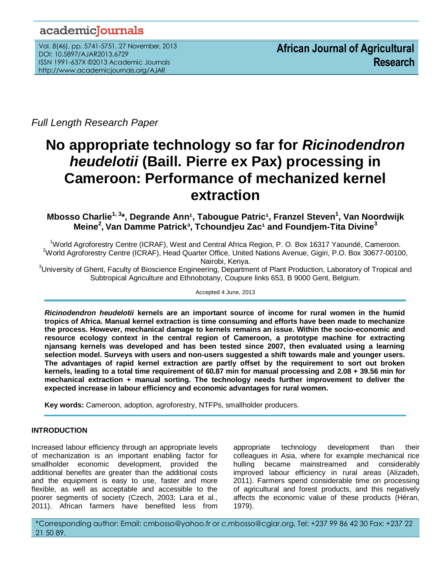# academicJournals

Vol. 8(46), pp. 5741-5751, 27 November, 2013 DOI: 10.5897/AJAR2013.6729 ISSN 1991-637X ©2013 Academic Journals http://www.academicjournals.org/AJAR

*Full Length Research Paper*

# **No appropriate technology so far for** *Ricinodendron heudelotii* **(Baill. Pierre ex Pax) processing in Cameroon: Performance of mechanized kernel extraction**

# **Mbosso Charlie** $^{1, 3*}$ **, Degrande Ann** $^{1}$ **, Tabougue Patric** $^{1}$ **, Franzel Steven** $^{1}$ **, Van Noordwijk Meine<sup>2</sup> , Van Damme Patrick³, Tchoundjeu Zac¹ and Foundjem-Tita Divine<sup>3</sup>**

<sup>1</sup>World Agroforestry Centre (ICRAF), West and Central Africa Region, P. O. Box 16317 Yaoundé, Cameroon. <sup>2</sup>World Agroforestry Centre (ICRAF), Head Quarter Office, United Nations Avenue, Gigiri, P.O. Box 30677-00100, Nairobi, Kenya.

<sup>3</sup>University of Ghent, Faculty of Bioscience Engineering, Department of Plant Production, Laboratory of Tropical and Subtropical Agriculture and Ethnobotany, Coupure links 653, B 9000 Gent, Belgium.

Accepted 4 June, 2013

*Ricinodendron heudelotii* **kernels are an important source of income for rural women in the humid tropics of Africa. Manual kernel extraction is time consuming and efforts have been made to mechanize the process. However, mechanical damage to kernels remains an issue. Within the socio-economic and resource ecology context in the central region of Cameroon, a prototype machine for extracting njansang kernels was developed and has been tested since 2007, then evaluated using a learning selection model. Surveys with users and non-users suggested a shift towards male and younger users. The advantages of rapid kernel extraction are partly offset by the requirement to sort out broken kernels, leading to a total time requirement of 60.87 min for manual processing and 2.08 + 39.56 min for mechanical extraction + manual sorting. The technology needs further improvement to deliver the expected increase in labour efficiency and economic advantages for rural women.** 

**Key words:** Cameroon, adoption, agroforestry, NTFPs, smallholder producers.

# **INTRODUCTION**

Increased labour efficiency through an appropriate levels of mechanization is an important enabling factor for smallholder economic development, provided the additional benefits are greater than the additional costs and the equipment is easy to use, faster and more flexible, as well as acceptable and accessible to the poorer segments of society (Czech, 2003; Lara et al., 2011). African farmers have benefited less from appropriate technology development than their colleagues in Asia, where for example mechanical rice hulling became mainstreamed and considerably improved labour efficiency in rural areas (Alizadeh, 2011). Farmers spend considerable time on processing of agricultural and forest products, and this negatively affects the economic value of these products (Héran, 1979).

\*Corresponding author: Email: cmbosso@yahoo.fr or c.mbosso@cgiar.org. Tel: +237 99 86 42 30 Fax: +237 22 21 50 89.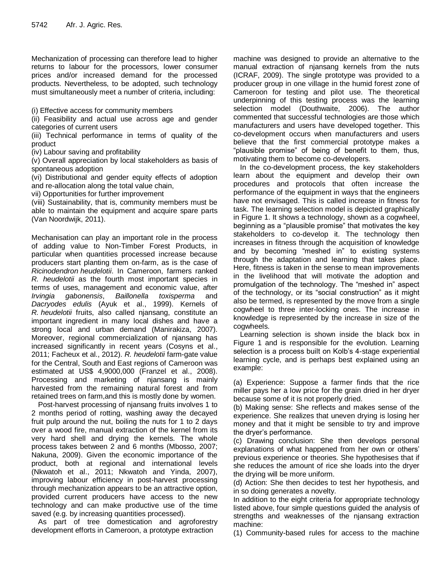Mechanization of processing can therefore lead to higher returns to labour for the processors, lower consumer prices and/or increased demand for the processed products. Nevertheless, to be adopted, such technology must simultaneously meet a number of criteria, including:

(i) Effective access for community members

(ii) Feasibility and actual use across age and gender categories of current users

(iii) Technical performance in terms of quality of the product

(iv) Labour saving and profitability

(v) Overall appreciation by local stakeholders as basis of spontaneous adoption

(vi) Distributional and gender equity effects of adoption and re-allocation along the total value chain,

vii) Opportunities for further improvement

(viii) Sustainability, that is, community members must be able to maintain the equipment and acquire spare parts (Van Noordwijk, 2011).

Mechanisation can play an important role in the process of adding value to Non-Timber Forest Products, in particular when quantities processed increase because producers start planting them on-farm, as is the case of *Ricinodendron heudelotii*. In Cameroon, farmers ranked *R. heudelotii* as the fourth most important species in terms of uses, management and economic value, after *Irvingia gabonensis*, *Baillonella toxisperma* and *Dacryodes edulis* (Ayuk et al., 1999). Kernels of *R. heudelotii* fruits, also called njansang, constitute an important ingredient in many local dishes and have a strong local and urban demand (Manirakiza, 2007). Moreover, regional commercialization of njansang has increased significantly in recent years (Cosyns et al., 2011; Facheux et al., 2012). *R. heudelotii* farm-gate value for the Central, South and East regions of Cameroon was estimated at US\$ 4,9000,000 (Franzel et al., 2008). Processing and marketing of njansang is mainly harvested from the remaining natural forest and from retained trees on farm,and this is mostly done by women.

Post-harvest processing of njansang fruits involves 1 to 2 months period of rotting, washing away the decayed fruit pulp around the nut, boiling the nuts for 1 to 2 days over a wood fire, manual extraction of the kernel from its very hard shell and drying the kernels. The whole process takes between 2 and 6 months (Mbosso, 2007; Nakuna, 2009). Given the economic importance of the product, both at regional and international levels (Nkwatoh et al., 2011; Nkwatoh and Yinda, 2007), improving labour efficiency in post-harvest processing through mechanization appears to be an attractive option, provided current producers have access to the new technology and can make productive use of the time saved (e.g. by increasing quantities processed).

As part of tree domestication and agroforestry development efforts in Cameroon, a prototype extraction

machine was designed to provide an alternative to the manual extraction of njansang kernels from the nuts (ICRAF, 2009). The single prototype was provided to a producer group in one village in the humid forest zone of Cameroon for testing and pilot use. The theoretical underpinning of this testing process was the learning selection model (Douthwaite, 2006). The author commented that successful technologies are those which manufacturers and users have developed together. This co-development occurs when manufacturers and users believe that the first commercial prototype makes a "plausible promise" of being of benefit to them, thus, motivating them to become co-developers.

In the co-development process, the key stakeholders learn about the equipment and develop their own procedures and protocols that often increase the performance of the equipment in ways that the engineers have not envisaged. This is called increase in fitness for task. The learning selection model is depicted graphically in Figure 1. It shows a technology, shown as a cogwheel, beginning as a "plausible promise" that motivates the key stakeholders to co-develop it. The technology then increases in fitness through the acquisition of knowledge and by becoming "meshed in" to existing systems through the adaptation and learning that takes place. Here, fitness is taken in the sense to mean improvements in the livelihood that will motivate the adoption and promulgation of the technology. The "meshed in" aspect of the technology, or its "social construction" as it might also be termed, is represented by the move from a single cogwheel to three inter-locking ones. The increase in knowledge is represented by the increase in size of the cogwheels.

Learning selection is shown inside the black box in Figure 1 and is responsible for the evolution. Learning selection is a process built on Kolb's 4-stage experiential learning cycle, and is perhaps best explained using an example:

(a) Experience: Suppose a farmer finds that the rice miller pays her a low price for the grain dried in her dryer because some of it is not properly dried.

(b) Making sense: She reflects and makes sense of the experience. She realizes that uneven drying is losing her money and that it might be sensible to try and improve the dryer's performance.

(c) Drawing conclusion: She then develops personal explanations of what happened from her own or others' previous experience or theories. She hypothesises that if she reduces the amount of rice she loads into the dryer the drying will be more uniform.

(d) Action: She then decides to test her hypothesis, and in so doing generates a novelty.

In addition to the eight criteria for appropriate technology listed above, four simple questions guided the analysis of strengths and weaknesses of the njansang extraction machine:

(1) Community-based rules for access to the machine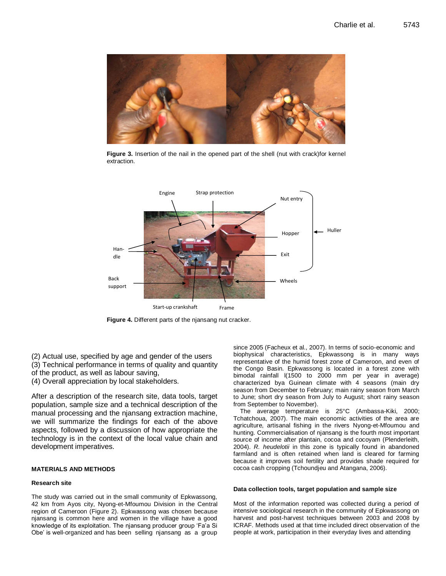

**Figure 3.** Insertion of the nail in the opened part of the shell (nut with crack)for kernel extraction.



**Figure 4.** Different parts of the njansang nut cracker.

(2) Actual use, specified by age and gender of the users (3) Technical performance in terms of quality and quantity

of the product, as well as labour saving,

(4) Overall appreciation by local stakeholders.

After a description of the research site, data tools, target population, sample size and a technical description of the manual processing and the njansang extraction machine, we will summarize the findings for each of the above aspects, followed by a discussion of how appropriate the technology is in the context of the local value chain and development imperatives.

#### **MATERIALS AND METHODS**

#### **Research site**

The study was carried out in the small community of Epkwassong, 42 km from Ayos city, Nyong-et-Mfoumou Division in the Central region of Cameroon (Figure 2). Epkwassong was chosen because njansang is common here and women in the village have a good knowledge of its exploitation. The njansang producer group 'Fa'a Si Obe' is well-organized and has been selling njansang as a group since 2005 (Facheux et al., 2007). In terms of socio-economic and biophysical characteristics, Epkwassong is in many ways representative of the humid forest zone of Cameroon, and even of the Congo Basin. Epkwassong is located in a forest zone with bimodal rainfall l(1500 to 2000 mm per year in average) characterized bya Guinean climate with 4 seasons (main dry season from December to February; main rainy season from March to June; short dry season from July to August; short rainy season from September to November).

The average temperature is 25°C (Ambassa-Kiki, 2000; Tchatchoua, 2007). The main economic activities of the area are agriculture, artisanal fishing in the rivers Nyong-et-Mfoumou and hunting. Commercialisation of njansang is the fourth most important source of income after plantain, cocoa and cocoyam (Plenderleith, 2004). *R. heudelotii* in this zone is typically found in abandoned farmland and is often retained when land is cleared for farming because it improves soil fertility and provides shade required for cocoa cash cropping (Tchoundjeu and Atangana, 2006).

#### **Data collection tools, target population and sample size**

Most of the information reported was collected during a period of intensive sociological research in the community of Epkwassong on harvest and post-harvest techniques between 2003 and 2008 by ICRAF. Methods used at that time included direct observation of the people at work, participation in their everyday lives and attending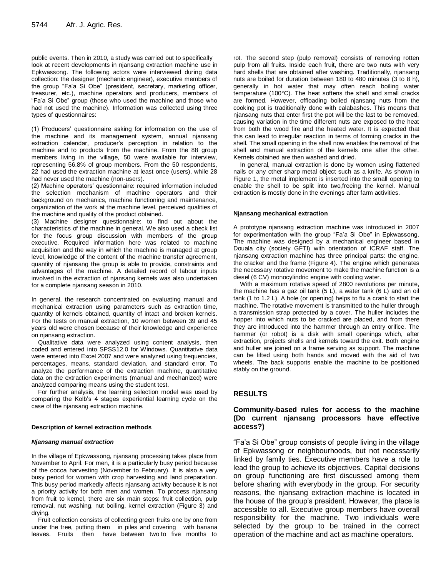public events. Then in 2010, a study was carried out to specifically look at recent developments in njansang extraction machine use in Epkwassong. The following actors were interviewed during data collection: the designer (mechanic engineer), executive members of the group "Fa'a Si Obe" (president, secretary, marketing officer, treasurer, etc.), machine operators and producers, members of "Fa'a Si Obe" group (those who used the machine and those who had not used the machine). Information was collected using three types of questionnaires:

(1) Producers' questionnaire asking for information on the use of the machine and its management system, annual njansang extraction calendar, producer's perception in relation to the machine and to products from the machine. From the 88 group members living in the village, 50 were available for interview, representing 56.8% of group members. From the 50 respondents, 22 had used the extraction machine at least once (users), while 28 had never used the machine (non-users).

(2) Machine operators' questionnaire: required information included the selection mechanism of machine operators and their background on mechanics, machine functioning and maintenance, organization of the work at the machine level, perceived qualities of the machine and quality of the product obtained.

(3) Machine designer questionnaire: to find out about the characteristics of the machine in general. We also used a check list for the focus group discussion with members of the group executive. Required information here was related to machine acquisition and the way in which the machine is managed at group level, knowledge of the content of the machine transfer agreement, quantity of njansang the group is able to provide, constraints and advantages of the machine. A detailed record of labour inputs involved in the extraction of njansang kernels was also undertaken for a complete njansang season in 2010.

In general, the research concentrated on evaluating manual and mechanical extraction using parameters such as extraction time, quantity of kernels obtained, quantity of intact and broken kernels. For the tests on manual extraction, 10 women between 39 and 45 years old were chosen because of their knowledge and experience on njansang extraction.

Qualitative data were analyzed using content analysis, then coded and entered into SPSS12.0 for Windows. Quantitative data were entered into Excel 2007 and were analyzed using frequencies, percentages, means, standard deviation, and standard error. To analyze the performance of the extraction machine, quantitative data on the extraction experiments (manual and mechanized) were analyzed comparing means using the student test.

For further analysis, the learning selection model was used by comparing the Kolb's 4 stages experiential learning cycle on the case of the njansang extraction machine.

#### **Description of kernel extraction methods**

#### *Njansang manual extraction*

In the village of Epkwassong, njansang processing takes place from November to April. For men, it is a particularly busy period because of the cocoa harvesting (November to February). It is also a very busy period for women with crop harvesting and land preparation. This busy period markedly affects njansang activity because it is not a priority activity for both men and women. To process njansang from fruit to kernel, there are six main steps: fruit collection, pulp removal, nut washing, nut boiling, kernel extraction (Figure 3) and drying.

Fruit collection consists of collecting green fruits one by one from under the tree, putting them in piles and covering with banana leaves. Fruits then have between two to five months to

rot. The second step (pulp removal) consists of removing rotten pulp from all fruits. Inside each fruit, there are two nuts with very hard shells that are obtained after washing. Traditionally, njansang nuts are boiled for duration between 180 to 480 minutes (3 to 8 h), generally in hot water that may often reach boiling water temperature (100°C). The heat softens the shell and small cracks are formed. However, offloading boiled njansang nuts from the cooking pot is traditionally done with calabashes. This means that njansang nuts that enter first the pot will be the last to be removed, causing variation in the time different nuts are exposed to the heat from both the wood fire and the heated water. It is expected that this can lead to irregular reaction in terms of forming cracks in the shell. The small opening in the shell now enables the removal of the shell and manual extraction of the kernels one after the other. Kernels obtained are then washed and dried.

In general, manual extraction is done by women using flattened nails or any other sharp metal object such as a knife. As shown in Figure 1, the metal implement is inserted into the small opening to enable the shell to be split into two,freeing the kernel. Manual extraction is mostly done in the evenings after farm activities.

#### **Njansang mechanical extraction**

A prototype njansang extraction machine was introduced in 2007 for experimentation with the group "Fa'a Si Obe" in Epkwassong. The machine was designed by a mechanical engineer based in Douala city (society GFTI) with orientation of ICRAF staff. The njansang extraction machine has three principal parts: the engine, the cracker and the frame (Figure 4). The engine which generates the necessary rotative movement to make the machine function is a diesel (6 CV) monocylindric engine with cooling water.

With a maximum rotative speed of 2800 revolutions per minute, the machine has a gaz oil tank (5 L), a water tank (6 L) and an oil tank (1 to 1.2 L). A hole (or opening) helps to fix a crank to start the machine. The rotative movement is transmitted to the huller through a transmission strap protected by a cover. The huller includes the hopper into which nuts to be cracked are placed, and from there they are introduced into the hammer through an entry orifice. The hammer (or robot) is a disk with small openings which, after extraction, projects shells and kernels toward the exit. Both engine and huller are joined on a frame serving as support. The machine can be lifted using both hands and moved with the aid of two wheels. The back supports enable the machine to be positioned stably on the ground.

# **RESULTS**

#### **Community-based rules for access to the machine (Do current njansang processors have effective access?)**

"Fa'a Si Obe" group consists of people living in the village of Epkwassong or neighbourhoods, but not necessarily linked by family ties. Executive members have a role to lead the group to achieve its objectives. Capital decisions on group functioning are first discussed among them before sharing with everybody in the group. For security reasons, the njansang extraction machine is located in the house of the group's president. However, the place is accessible to all. Executive group members have overall responsibility for the machine. Two individuals were selected by the group to be trained in the correct operation of the machine and act as machine operators.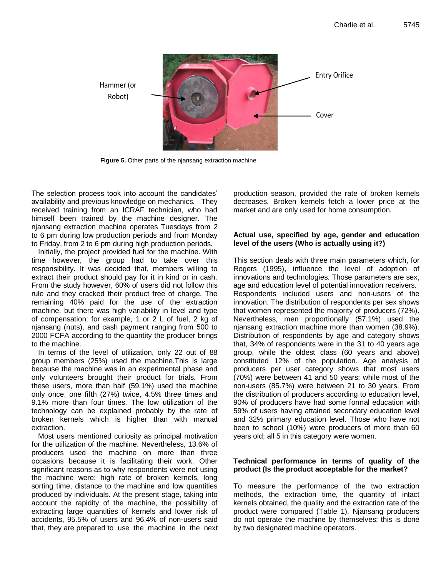

**Figure 5.** Other parts of the njansang extraction machine

The selection process took into account the candidates' availability and previous knowledge on mechanics. They received training from an ICRAF technician, who had himself been trained by the machine designer. The njansang extraction machine operates Tuesdays from 2 to 6 pm during low production periods and from Monday to Friday, from 2 to 6 pm during high production periods.

Initially, the project provided fuel for the machine. With time however, the group had to take over this responsibility. It was decided that, members willing to extract their product should pay for it in kind or in cash. From the study however, 60% of users did not follow this rule and they cracked their product free of charge. The remaining 40% paid for the use of the extraction machine, but there was high variability in level and type of compensation: for example, 1 or 2 L of fuel, 2 kg of njansang (nuts), and cash payment ranging from 500 to 2000 FCFA according to the quantity the producer brings to the machine.

In terms of the level of utilization, only 22 out of 88 group members (25%) used the machine.This is large because the machine was in an experimental phase and only volunteers brought their product for trials. From these users, more than half (59.1%) used the machine only once, one fifth (27%) twice, 4.5% three times and 9.1% more than four times. The low utilization of the technology can be explained probably by the rate of broken kernels which is higher than with manual extraction.

Most users mentioned curiosity as principal motivation for the utilization of the machine. Nevertheless, 13.6% of producers used the machine on more than three occasions because it is facilitating their work. Other significant reasons as to why respondents were not using the machine were: high rate of broken kernels, long sorting time, distance to the machine and low quantities produced by individuals. At the present stage, taking into account the rapidity of the machine, the possibility of extracting large quantities of kernels and lower risk of accidents, 95.5% of users and 96.4% of non-users said that, they are prepared to use the machine in the next production season, provided the rate of broken kernels decreases. Broken kernels fetch a lower price at the market and are only used for home consumption.

#### **Actual use, specified by age, gender and education level of the users (Who is actually using it?)**

This section deals with three main parameters which, for Rogers (1995), influence the level of adoption of innovations and technologies. Those parameters are sex, age and education level of potential innovation receivers. Respondents included users and non-users of the innovation. The distribution of respondents per sex shows that women represented the majority of producers (72%). Nevertheless, men proportionally (57.1%) used the njansang extraction machine more than women (38.9%). Distribution of respondents by age and category shows that, 34% of respondents were in the 31 to 40 years age group, while the oldest class (60 years and above) constituted 12% of the population. Age analysis of producers per user category shows that most users (70%) were between 41 and 50 years; while most of the non-users (85.7%) were between 21 to 30 years. From the distribution of producers according to education level, 90% of producers have had some formal education with 59% of users having attained secondary education level and 32% primary education level. Those who have not been to school (10%) were producers of more than 60 years old; all 5 in this category were women.

# **Technical performance in terms of quality of the product (Is the product acceptable for the market?**

To measure the performance of the two extraction methods, the extraction time, the quantity of intact kernels obtained, the quality and the extraction rate of the product were compared (Table 1). Njansang producers do not operate the machine by themselves; this is done by two designated machine operators.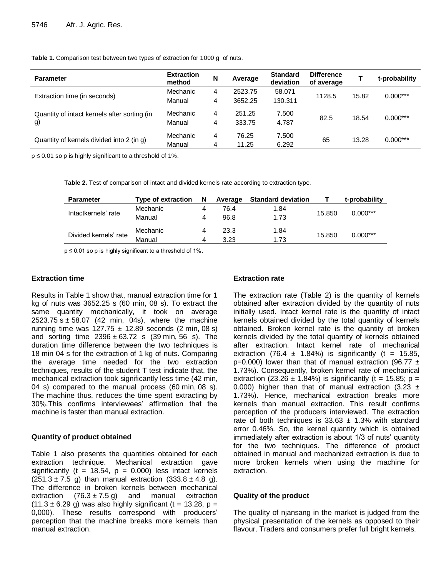**Table 1.** Comparison test between two types of extraction for 1000 g of nuts.

| <b>Parameter</b>                                   | <b>Extraction</b><br>method | N | Average | <b>Standard</b><br>deviation | <b>Difference</b><br>of average |       | t-probability |
|----------------------------------------------------|-----------------------------|---|---------|------------------------------|---------------------------------|-------|---------------|
| Extraction time (in seconds)                       | Mechanic                    | 4 | 2523.75 | 58.071                       | 1128.5                          | 15.82 | $0.000***$    |
|                                                    | Manual                      | 4 | 3652.25 | 130.311                      |                                 |       |               |
| Quantity of intact kernels after sorting (in<br>g) | Mechanic                    | 4 | 251.25  | 7.500                        | 82.5                            | 18.54 | $0.000***$    |
|                                                    | Manual                      | 4 | 333.75  | 4.787                        |                                 |       |               |
| Quantity of kernels divided into 2 (in g)          | Mechanic                    | 4 | 76.25   | 7.500                        | 65                              | 13.28 | $0.000***$    |
|                                                    | Manual                      | 4 | 11.25   | 6.292                        |                                 |       |               |

p ≤ 0.01 so p is highly significant to a threshold of 1%.

**Table 2.** Test of comparison of intact and divided kernels rate according to extraction type.

| <b>Parameter</b>      | Type of extraction | N | Average | <b>Standard deviation</b> |        | t-probability |
|-----------------------|--------------------|---|---------|---------------------------|--------|---------------|
| Intactkernels' rate   | Mechanic           | 4 | 76.4    | 1.84                      | 15.850 | $0.000***$    |
|                       | Manual             | 4 | 96.8    | 1.73                      |        |               |
| Divided kernels' rate | Mechanic           | 4 | 23.3    | 1.84                      | 15.850 |               |
|                       | Manual             | Δ | 3.23    | 1.73                      |        | $0.000***$    |

p ≤ 0.01 so p is highly significant to a threshold of 1%.

#### **Extraction time**

Results in Table 1 show that, manual extraction time for 1 kg of nuts was 3652.25 s (60 min, 08 s). To extract the same quantity mechanically, it took on average 2523.75 s  $\pm$  58.07 (42 min, 04s), where the machine running time was  $127.75 \pm 12.89$  seconds (2 min, 08 s) and sorting time  $2396 \pm 63.72$  s (39 min, 56 s). The duration time difference between the two techniques is 18 min 04 s for the extraction of 1 kg of nuts. Comparing the average time needed for the two extraction techniques, results of the student T test indicate that, the mechanical extraction took significantly less time (42 min, 04 s) compared to the manual process (60 min, 08 s). The machine thus, reduces the time spent extracting by 30%.This confirms interviewees' affirmation that the machine is faster than manual extraction.

#### **Quantity of product obtained**

Table 1 also presents the quantities obtained for each extraction technique. Mechanical extraction gave significantly ( $t = 18.54$ ,  $p = 0.000$ ) less intact kernels  $(251.3 \pm 7.5 \text{ g})$  than manual extraction  $(333.8 \pm 4.8 \text{ g})$ . The difference in broken kernels between mechanical extraction  $(76.3 \pm 7.5 \text{ g})$  and manual extraction extraction  $(76.3 \pm 7.5 \text{ g})$  and manual extraction  $(11.3 \pm 6.29$  g) was also highly significant (t = 13.28, p = 0,000). These results correspond with producers' perception that the machine breaks more kernels than manual extraction.

# **Extraction rate**

The extraction rate (Table 2) is the quantity of kernels obtained after extraction divided by the quantity of nuts initially used. Intact kernel rate is the quantity of intact kernels obtained divided by the total quantity of kernels obtained. Broken kernel rate is the quantity of broken kernels divided by the total quantity of kernels obtained after extraction. Intact kernel rate of mechanical extraction (76.4  $\pm$  1.84%) is significantly (t = 15.85,  $p=0.000$ ) lower than that of manual extraction (96.77  $\pm$ 1.73%). Consequently, broken kernel rate of mechanical extraction (23.26  $\pm$  1.84%) is significantly (t = 15.85; p = 0.000) higher than that of manual extraction (3.23  $\pm$ 1.73%). Hence, mechanical extraction breaks more kernels than manual extraction. This result confirms perception of the producers interviewed. The extraction rate of both techniques is  $33.63 \pm 1.3\%$  with standard error 0.46%. So, the kernel quantity which is obtained immediately after extraction is about 1/3 of nuts' quantity for the two techniques. The difference of product obtained in manual and mechanized extraction is due to more broken kernels when using the machine for extraction.

#### **Quality of the product**

The quality of njansang in the market is judged from the physical presentation of the kernels as opposed to their flavour. Traders and consumers prefer full bright kernels.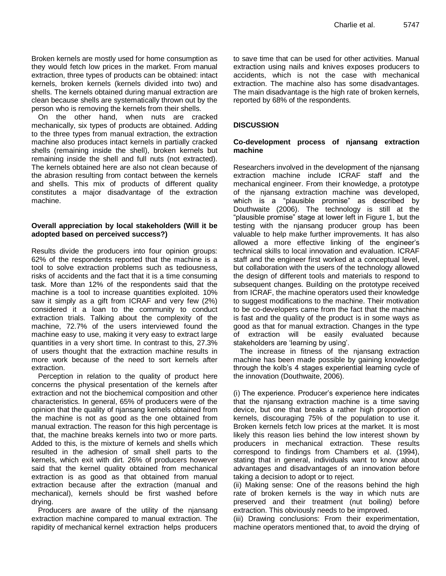Broken kernels are mostly used for home consumption as they would fetch low prices in the market. From manual extraction, three types of products can be obtained: intact kernels, broken kernels (kernels divided into two) and shells. The kernels obtained during manual extraction are clean because shells are systematically thrown out by the person who is removing the kernels from their shells.

On the other hand, when nuts are cracked mechanically, six types of products are obtained. Adding to the three types from manual extraction, the extraction machine also produces intact kernels in partially cracked shells (remaining inside the shell), broken kernels but remaining inside the shell and full nuts (not extracted). The kernels obtained here are also not clean because of the abrasion resulting from contact between the kernels and shells. This mix of products of different quality constitutes a major disadvantage of the extraction machine.

### **Overall appreciation by local stakeholders (Will it be adopted based on perceived success?)**

Results divide the producers into four opinion groups: 62% of the respondents reported that the machine is a tool to solve extraction problems such as tediousness, risks of accidents and the fact that it is a time consuming task. More than 12% of the respondents said that the machine is a tool to increase quantities exploited. 10% saw it simply as a gift from ICRAF and very few (2%) considered it a loan to the community to conduct extraction trials. Talking about the complexity of the machine, 72.7% of the users interviewed found the machine easy to use, making it very easy to extract large quantities in a very short time. In contrast to this, 27.3% of users thought that the extraction machine results in more work because of the need to sort kernels after extraction.

Perception in relation to the quality of product here concerns the physical presentation of the kernels after extraction and not the biochemical composition and other characteristics. In general, 65% of producers were of the opinion that the quality of njansang kernels obtained from the machine is not as good as the one obtained from manual extraction. The reason for this high percentage is that, the machine breaks kernels into two or more parts. Added to this, is the mixture of kernels and shells which resulted in the adhesion of small shell parts to the kernels, which exit with dirt. 26% of producers however said that the kernel quality obtained from mechanical extraction is as good as that obtained from manual extraction because after the extraction (manual and mechanical), kernels should be first washed before drying.

Producers are aware of the utility of the njansang extraction machine compared to manual extraction. The rapidity of mechanical kernel extraction helps producers to save time that can be used for other activities. Manual extraction using nails and knives exposes producers to accidents, which is not the case with mechanical extraction. The machine also has some disadvantages. The main disadvantage is the high rate of broken kernels, reported by 68% of the respondents.

# **DISCUSSION**

#### **Co-development process of njansang extraction machine**

Researchers involved in the development of the njansang extraction machine include ICRAF staff and the mechanical engineer. From their knowledge, a prototype of the njansang extraction machine was developed, which is a "plausible promise" as described by Douthwaite (2006). The technology is still at the "plausible promise" stage at lower left in Figure 1, but the testing with the njansang producer group has been valuable to help make further improvements. It has also allowed a more effective linking of the engineer's technical skills to local innovation and evaluation. ICRAF staff and the engineer first worked at a conceptual level, but collaboration with the users of the technology allowed the design of different tools and materials to respond to subsequent changes. Building on the prototype received from ICRAF, the machine operators used their knowledge to suggest modifications to the machine. Their motivation to be co-developers came from the fact that the machine is fast and the quality of the product is in some ways as good as that for manual extraction. Changes in the type of extraction will be easily evaluated because stakeholders are 'learning by using'.

The increase in fitness of the njansang extraction machine has been made possible by gaining knowledge through the kolb's 4 stages experiential learning cycle of the innovation (Douthwaite, 2006).

(i) The experience. Producer's experience here indicates that the njansang extraction machine is a time saving device, but one that breaks a rather high proportion of kernels, discouraging 75% of the population to use it. Broken kernels fetch low prices at the market. It is most likely this reason lies behind the low interest shown by producers in mechanical extraction. These results correspond to findings from Chambers et al. (1994), stating that in general, individuals want to know about advantages and disadvantages of an innovation before taking a decision to adopt or to reject.

(ii) Making sense: One of the reasons behind the high rate of broken kernels is the way in which nuts are preserved and their treatment (nut boiling) before extraction. This obviously needs to be improved.

(iii) Drawing conclusions: From their experimentation, machine operators mentioned that, to avoid the drying of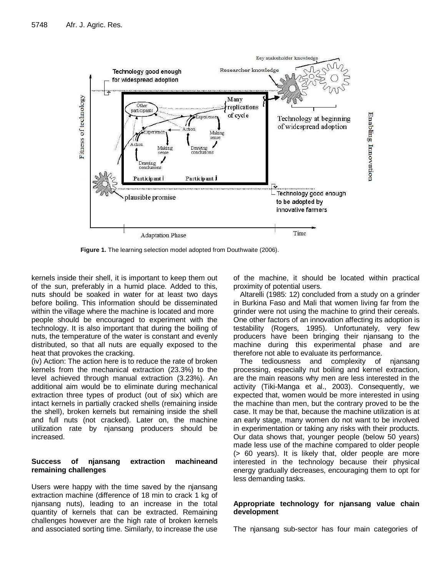

**Figure 1.** The learning selection model adopted from Douthwaite (2006).

kernels inside their shell, it is important to keep them out of the sun, preferably in a humid place. Added to this, nuts should be soaked in water for at least two days before boiling. This information should be disseminated within the village where the machine is located and more people should be encouraged to experiment with the technology. It is also important that during the boiling of nuts, the temperature of the water is constant and evenly distributed, so that all nuts are equally exposed to the heat that provokes the cracking.

(iv) Action: The action here is to reduce the rate of broken kernels from the mechanical extraction (23.3%) to the level achieved through manual extraction (3.23%). An additional aim would be to eliminate during mechanical extraction three types of product (out of six) which are intact kernels in partially cracked shells (remaining inside the shell), broken kernels but remaining inside the shell and full nuts (not cracked). Later on, the machine utilization rate by njansang producers should be increased.

#### **Success of njansang extraction machineand remaining challenges**

Users were happy with the time saved by the njansang extraction machine (difference of 18 min to crack 1 kg of njansang nuts), leading to an increase in the total quantity of kernels that can be extracted. Remaining challenges however are the high rate of broken kernels and associated sorting time. Similarly, to increase the use

of the machine, it should be located within practical proximity of potential users.

Altarelli (1985: 12) concluded from a study on a grinder in Burkina Faso and Mali that women living far from the grinder were not using the machine to grind their cereals. One other factors of an innovation affecting its adoption is testability (Rogers, 1995). Unfortunately, very few producers have been bringing their njansang to the machine during this experimental phase and are therefore not able to evaluate its performance.

The tediousness and complexity of njansang processing, especially nut boiling and kernel extraction, are the main reasons why men are less interested in the activity (Tiki-Manga et al., 2003). Consequently, we expected that, women would be more interested in using the machine than men, but the contrary proved to be the case. It may be that, because the machine utilization is at an early stage, many women do not want to be involved in experimentation or taking any risks with their products. Our data shows that, younger people (below 50 years) made less use of the machine compared to older people (> 60 years). It is likely that, older people are more interested in the technology because their physical energy gradually decreases, encouraging them to opt for less demanding tasks.

#### **Appropriate technology for njansang value chain development**

The njansang sub-sector has four main categories of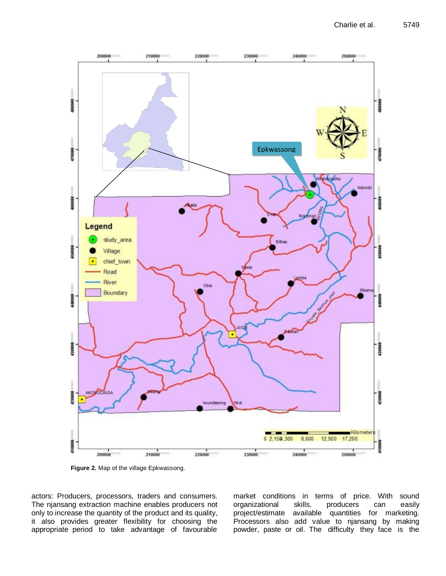

**Figure 2.** Map of the village Epkwassong.

actors: Producers, processors, traders and consumers. The njansang extraction machine enables producers not only to increase the quantity of the product and its quality, it also provides greater flexibility for choosing the appropriate period to take advantage of favourable market conditions in terms of price. With sound organizational skills, producers can easily project/estimate available quantities for marketing. Processors also add value to njansang by making powder, paste or oil. The difficulty they face is the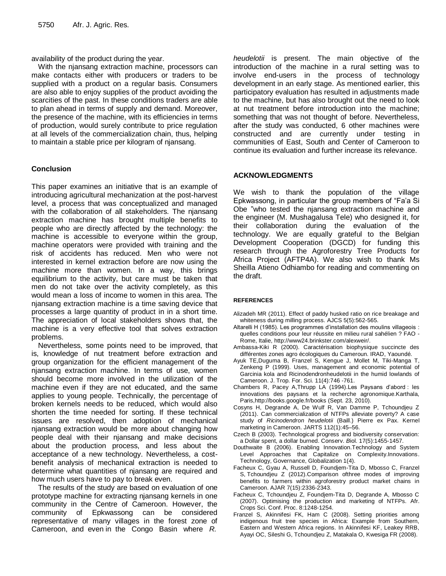availability of the product during the year.

With the njansang extraction machine, processors can make contacts either with producers or traders to be supplied with a product on a regular basis. Consumers are also able to enjoy supplies of the product avoiding the scarcities of the past. In these conditions traders are able to plan ahead in terms of supply and demand. Moreover, the presence of the machine, with its efficiencies in terms of production, would surely contribute to price regulation at all levels of the commercialization chain, thus, helping to maintain a stable price per kilogram of njansang.

#### **Conclusion**

This paper examines an initiative that is an example of introducing agricultural mechanization at the post-harvest level, a process that was conceptualized and managed with the collaboration of all stakeholders. The njansang extraction machine has brought multiple benefits to people who are directly affected by the technology: the machine is accessible to everyone within the group, machine operators were provided with training and the risk of accidents has reduced. Men who were not interested in kernel extraction before are now using the machine more than women. In a way, this brings equilibrium to the activity, but care must be taken that men do not take over the activity completely, as this would mean a loss of income to women in this area. The njansang extraction machine is a time saving device that processes a large quantity of product in in a short time. The appreciation of local stakeholders shows that, the machine is a very effective tool that solves extraction problems.

Nevertheless, some points need to be improved, that is, knowledge of nut treatment before extraction and group organization for the efficient management of the njansang extraction machine. In terms of use, women should become more involved in the utilization of the machine even if they are not educated, and the same applies to young people. Technically, the percentage of broken kernels needs to be reduced, which would also shorten the time needed for sorting. If these technical issues are resolved, then adoption of mechanical njansang extraction would be more about changing how people deal with their njansang and make decisions about the production process, and less about the acceptance of a new technology. Nevertheless, a costbenefit analysis of mechanical extraction is needed to determine what quantities of njansang are required and how much users have to pay to break even.

The results of the study are based on evaluation of one prototype machine for extracting njansang kernels in one community in the Centre of Cameroon. However, the community of Epkwassong can be considered representative of many villages in the forest zone of Cameroon, and even in the Congo Basin where *R.* 

*heudelotii* is present. The main objective of the introduction of the machine in a rural setting was to involve end-users in the process of technology development in an early stage. As mentioned earlier, this participatory evaluation has resulted in adjustments made to the machine, but has also brought out the need to look at nut treatment before introduction into the machine; something that was not thought of before. Nevertheless, after the study was conducted, 6 other machines were constructed and are currently under testing in communities of East, South and Center of Cameroon to continue its evaluation and further increase its relevance.

#### **ACKNOWLEDGMENTS**

We wish to thank the population of the village Epkwassong, in particular the group members of "Fa'a Si Obe "who tested the njansang extraction machine and the engineer (M. Mushagalusa Tele) who designed it, for their collaboration during the evaluation of the technology. We are equally grateful to the Belgian Development Cooperation (DGCD) for funding this research through the Agroforestry Tree Products for Africa Project (AFTP4A). We also wish to thank Ms Sheilla Atieno Odhiambo for reading and commenting on the draft.

#### **REFERENCES**

- Alizadeh MR (2011). Effect of paddy husked ratio on rice breakage and whiteness during milling process. AJCS 5(5):562-565.
- Altarelli H (1985). Les programmes d'installation des moulins villageois : quelles conditions pour leur réussite en milieu rural sahélien ? FAO - Rome, Italie[, http://www24.brinkster.com/alexweir/.](http://www24.brinkster.com/alexweir/)
- Ambassa-Kiki R (2000). Caractérisation biophysique succincte des différentes zones agro écologiques du Cameroun. IRAD, Yaoundé.
- Ayuk TE,Duguma B, Franzel S, Kengue J, Mollet M, Tiki-Manga T, Zenkeng P (1999). Uses, management and economic potential of Garcinia kola and Ricinodendronheudelotii in the humid lowlands of Cameroon. J. Trop. For. Sci. 11(4):746 -761.
- Chambers R, Pacey A,Thrupp LA (1994).Les Paysans d'abord : les innovations des paysans et la recherche agronomique.Karthala, Paris[,http://books.google.fr/books](http://books.google.fr/books) (Sept. 23, 2010).
- Cosyns H, Degrande A, De Wulf R, Van Damme P, Tchoundjeu Z (2011). Can commercialization of NTFPs alleviate poverty? A case study of *Ricinodendron heudelotii* (Baill.) Pierre ex Pax. Kernel marketing in Cameroon. JARTS 112(1):45–56.
- Czech B (2003). Technological progress and biodiversity conservation: a Dollar spent, a dollar burned. Conserv. *B*iol. 17(5):1455-1457.
- Douthwaite B (2006). Enabling Innovation.Technology and System Level Approaches that Capitalize on Complexity.Innovations. Technology, Governance, Globalization 1(4).
- Facheux C, Gyau A, Russell D, Foundjem-Tita D, Mbosso C, Franzel S, Tchoundjeu Z (2012).Comparison ofthree modes of improving benefits to farmers within agroforestry product market chains in Cameroon. AJAR 7(15):2336-2343.
- Facheux C, Tchoundjeu Z, Foundjem-Tita D, Degrande A, Mbosso C (2007). Optimising the production and marketing of NTFPs. Afr. Crops Sci. Conf. Proc. 8:1248-1254.
- Franzel S, Akinnifesi FK, Ham C (2008). Setting priorities among indigenous fruit tree species in Africa: Example from Southern, Eastern and Western Africa regions. In Akinnifesi KF, Leakey RRB, Ayayi OC, Sileshi G, Tchoundjeu Z, Matakala O, Kwesiga FR (2008).